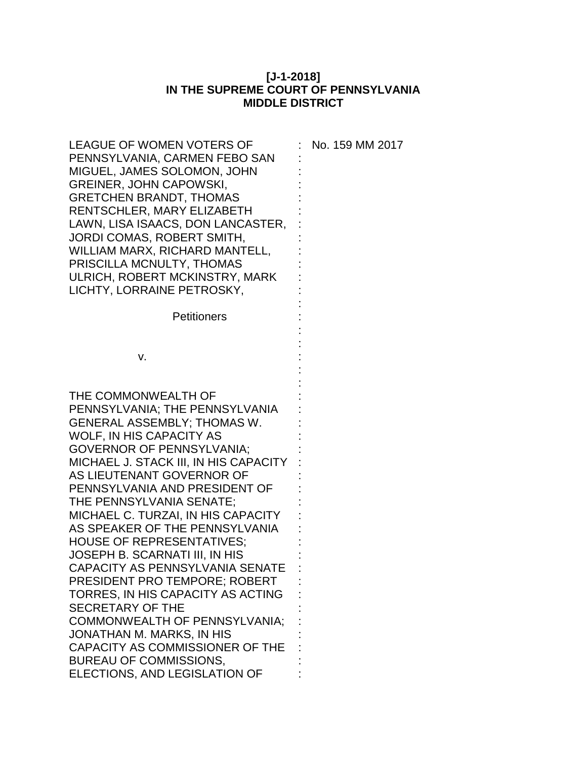## **[J-1-2018] IN THE SUPREME COURT OF PENNSYLVANIA MIDDLE DISTRICT**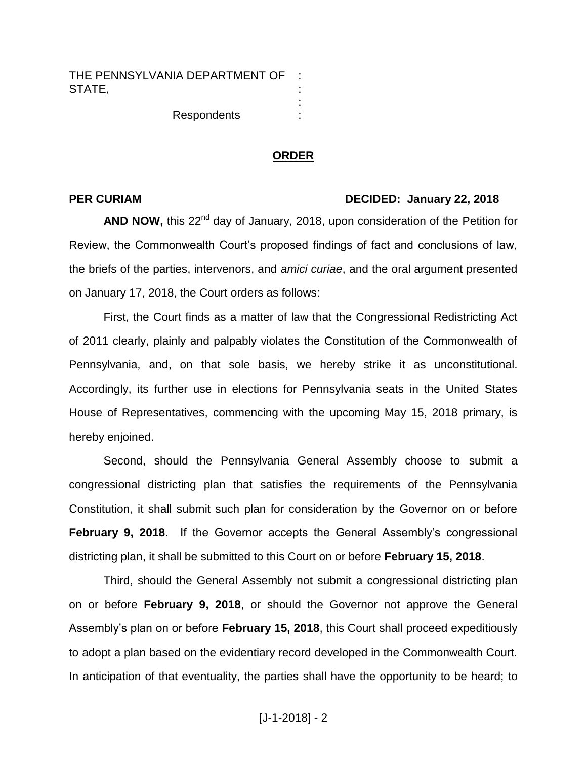**Respondents** 

## **ORDER**

: : : :

## **PER CURIAM DECIDED: January 22, 2018**

AND NOW, this 22<sup>nd</sup> day of January, 2018, upon consideration of the Petition for Review, the Commonwealth Court's proposed findings of fact and conclusions of law, the briefs of the parties, intervenors, and *amici curiae*, and the oral argument presented on January 17, 2018, the Court orders as follows:

First, the Court finds as a matter of law that the Congressional Redistricting Act of 2011 clearly, plainly and palpably violates the Constitution of the Commonwealth of Pennsylvania, and, on that sole basis, we hereby strike it as unconstitutional. Accordingly, its further use in elections for Pennsylvania seats in the United States House of Representatives, commencing with the upcoming May 15, 2018 primary, is hereby enjoined.

Second, should the Pennsylvania General Assembly choose to submit a congressional districting plan that satisfies the requirements of the Pennsylvania Constitution, it shall submit such plan for consideration by the Governor on or before **February 9, 2018**. If the Governor accepts the General Assembly's congressional districting plan, it shall be submitted to this Court on or before **February 15, 2018**.

Third, should the General Assembly not submit a congressional districting plan on or before **February 9, 2018**, or should the Governor not approve the General Assembly's plan on or before **February 15, 2018**, this Court shall proceed expeditiously to adopt a plan based on the evidentiary record developed in the Commonwealth Court. In anticipation of that eventuality, the parties shall have the opportunity to be heard; to